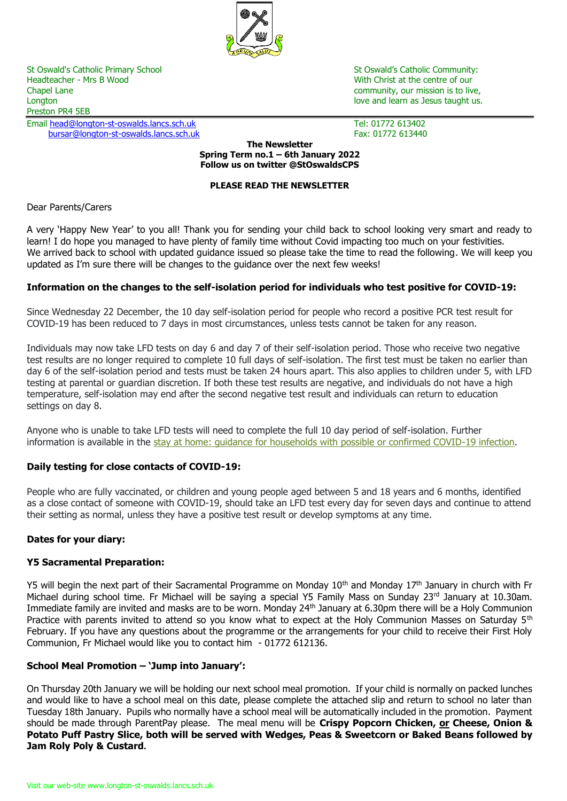

St Oswald's Catholic Primary School St Oswald's Catholic Community:<br>
Headteacher - Mrs B Wood St Oswald's Catholic Community:<br>
With Christ at the centre of our Chapel Lane community, our mission is to live, Longton love and learn as Jesus taught us. The love and love and learn as Jesus taught us. Preston PR4 5EB

Email <u>head@longton-st-oswalds.lancs.sch.uk</u> Tel: 01772 613402<br>bursar@longton-st-oswalds.lancs.sch.uk Tex: 01772 613440 [bursar@longton-st-oswalds.lancs.sch.uk](mailto:bursar@longton-st-oswalds.lancs.sch.uk)

With Christ at the centre of our

#### **The Newsletter Spring Term no.1 – 6th January 2022 Follow us on twitter @StOswaldsCPS**

# **PLEASE READ THE NEWSLETTER**

# Dear Parents/Carers

A very 'Happy New Year' to you all! Thank you for sending your child back to school looking very smart and ready to learn! I do hope you managed to have plenty of family time without Covid impacting too much on your festivities. We arrived back to school with updated guidance issued so please take the time to read the following. We will keep you updated as I'm sure there will be changes to the guidance over the next few weeks!

# **Information on the changes to the self-isolation period for individuals who test positive for COVID-19:**

Since Wednesday 22 December, the 10 day self-isolation period for people who record a positive PCR test result for COVID-19 has been reduced to 7 days in most circumstances, unless tests cannot be taken for any reason.

Individuals may now take LFD tests on day 6 and day 7 of their self-isolation period. Those who receive two negative test results are no longer required to complete 10 full days of self-isolation. The first test must be taken no earlier than day 6 of the self-isolation period and tests must be taken 24 hours apart. This also applies to children under 5, with LFD testing at parental or guardian discretion. If both these test results are negative, and individuals do not have a high temperature, self-isolation may end after the second negative test result and individuals can return to education settings on day 8.

Anyone who is unable to take LFD tests will need to complete the full 10 day period of self-isolation. Further information is available in the [stay at home: guidance for households with possible or confirmed COVID-19 infection.](https://www.gov.uk/government/publications/covid-19-stay-at-home-guidance/stay-at-home-guidance-for-households-with-possible-coronavirus-covid-19-infection?utm_source=2%20January%202022%20C19&utm_medium=Daily%20Email%20C19&utm_campaign=DfE%20C19)

# **Daily testing for close contacts of COVID-19:**

People who are fully vaccinated, or children and young people aged between 5 and 18 years and 6 months, identified as a close contact of someone with COVID-19, should take an LFD test every day for seven days and continue to attend their setting as normal, unless they have a positive test result or develop symptoms at any time.

# **Dates for your diary:**

# **Y5 Sacramental Preparation:**

Y5 will begin the next part of their Sacramental Programme on Monday 10<sup>th</sup> and Monday 17<sup>th</sup> January in church with Fr Michael during school time. Fr Michael will be saying a special Y5 Family Mass on Sunday 23rd January at 10.30am. Immediate family are invited and masks are to be worn. Monday 24<sup>th</sup> January at 6.30pm there will be a Holy Communion Practice with parents invited to attend so you know what to expect at the Holy Communion Masses on Saturday 5<sup>th</sup> February. If you have any questions about the programme or the arrangements for your child to receive their First Holy Communion, Fr Michael would like you to contact him - 01772 612136.

# **School Meal Promotion – 'Jump into January':**

On Thursday 20th January we will be holding our next school meal promotion. If your child is normally on packed lunches and would like to have a school meal on this date, please complete the attached slip and return to school no later than Tuesday 18th January. Pupils who normally have a school meal will be automatically included in the promotion. Payment should be made through ParentPay please. The meal menu will be **Crispy Popcorn Chicken, or Cheese, Onion & Potato Puff Pastry Slice, both will be served with Wedges, Peas & Sweetcorn or Baked Beans followed by Jam Roly Poly & Custard.**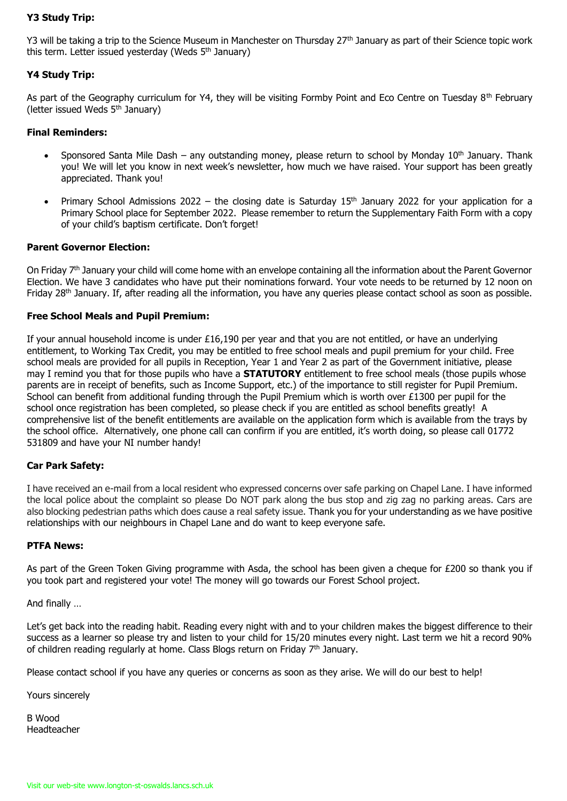# **Y3 Study Trip:**

Y3 will be taking a trip to the Science Museum in Manchester on Thursday 27<sup>th</sup> January as part of their Science topic work this term. Letter issued yesterday (Weds 5<sup>th</sup> January)

# **Y4 Study Trip:**

As part of the Geography curriculum for Y4, they will be visiting Formby Point and Eco Centre on Tuesday 8<sup>th</sup> February (letter issued Weds  $5<sup>th</sup>$  January)

# **Final Reminders:**

- Sponsored Santa Mile Dash any outstanding money, please return to school by Monday  $10^{th}$  January. Thank you! We will let you know in next week's newsletter, how much we have raised. Your support has been greatly appreciated. Thank you!
- Primary School Admissions 2022 the closing date is Saturday  $15<sup>th</sup>$  January 2022 for your application for a Primary School place for September 2022. Please remember to return the Supplementary Faith Form with a copy of your child's baptism certificate. Don't forget!

# **Parent Governor Election:**

On Friday 7<sup>th</sup> January your child will come home with an envelope containing all the information about the Parent Governor Election. We have 3 candidates who have put their nominations forward. Your vote needs to be returned by 12 noon on Friday 28th January. If, after reading all the information, you have any queries please contact school as soon as possible.

# **Free School Meals and Pupil Premium:**

If your annual household income is under £16,190 per year and that you are not entitled, or have an underlying entitlement, to Working Tax Credit, you may be entitled to free school meals and pupil premium for your child. Free school meals are provided for all pupils in Reception, Year 1 and Year 2 as part of the Government initiative, please may I remind you that for those pupils who have a **STATUTORY** entitlement to free school meals (those pupils whose parents are in receipt of benefits, such as Income Support, etc.) of the importance to still register for Pupil Premium. School can benefit from additional funding through the Pupil Premium which is worth over £1300 per pupil for the school once registration has been completed, so please check if you are entitled as school benefits greatly! A comprehensive list of the benefit entitlements are available on the application form which is available from the trays by the school office. Alternatively, one phone call can confirm if you are entitled, it's worth doing, so please call 01772 531809 and have your NI number handy!

# **Car Park Safety:**

I have received an e-mail from a local resident who expressed concerns over safe parking on Chapel Lane. I have informed the local police about the complaint so please Do NOT park along the bus stop and zig zag no parking areas. Cars are also blocking pedestrian paths which does cause a real safety issue. Thank you for your understanding as we have positive relationships with our neighbours in Chapel Lane and do want to keep everyone safe.

# **PTFA News:**

As part of the Green Token Giving programme with Asda, the school has been given a cheque for £200 so thank you if you took part and registered your vote! The money will go towards our Forest School project.

And finally …

Let's get back into the reading habit. Reading every night with and to your children makes the biggest difference to their success as a learner so please try and listen to your child for 15/20 minutes every night. Last term we hit a record 90% of children reading regularly at home. Class Blogs return on Friday  $7<sup>th</sup>$  January.

Please contact school if you have any queries or concerns as soon as they arise. We will do our best to help!

Yours sincerely

B Wood Headteacher